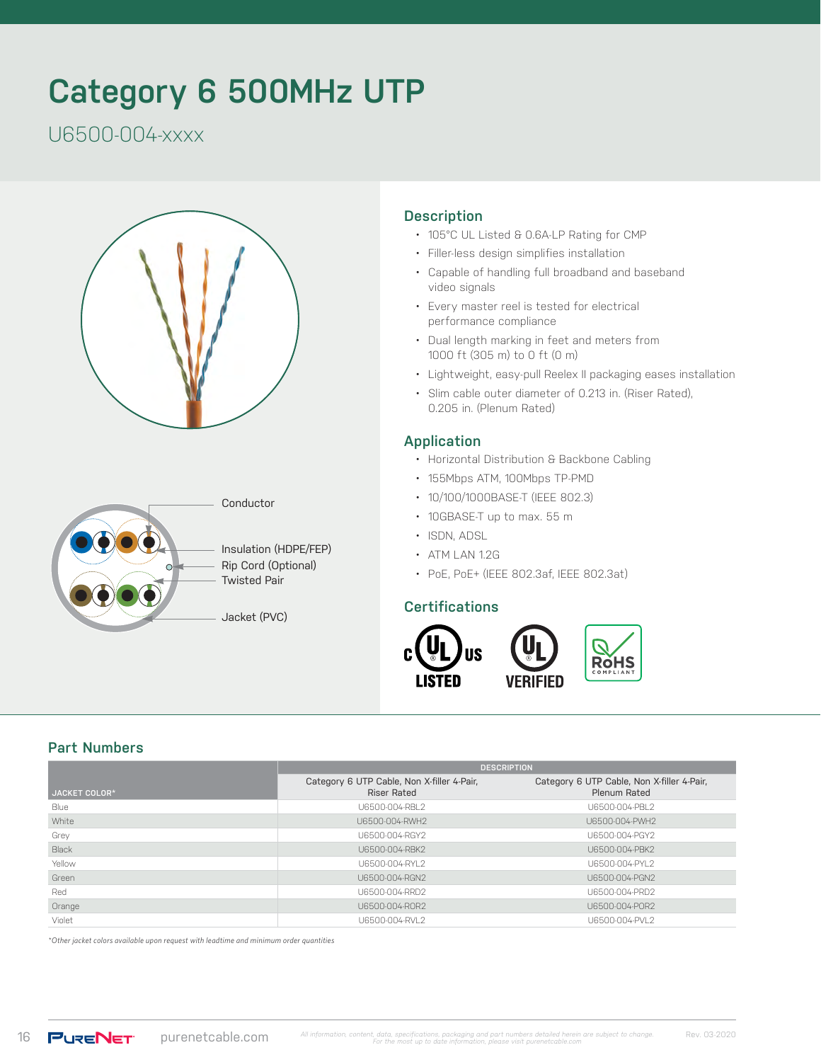# **Category 6 500MHz UTP**

U6500-004-xxxx





#### **Description**

- 105°C UL Listed & 0.6A-LP Rating for CMP
- Filler-less design simplifies installation
- Capable of handling full broadband and baseband video signals
- Every master reel is tested for electrical performance compliance
- Dual length marking in feet and meters from 1000 ft (305 m) to 0 ft (0 m)
- Lightweight, easy-pull Reelex II packaging eases installation
- Slim cable outer diameter of 0.213 in. (Riser Rated), 0.205 in. (Plenum Rated)

#### **Application**

- Horizontal Distribution & Backbone Cabling
- 155Mbps ATM, 100Mbps TP-PMD
- 10/100/1000BASE-T (IEEE 802.3)
- 10GBASE-T up to max. 55 m
- ISDN, ADSL
- ATM LAN 1.2G
- PoE, PoE+ (IEEE 802.3af, IEEE 802.3at)

#### **Certifications**



#### **Part Numbers**

|                      | <b>DESCRIPTION</b>                                               |                                                            |  |  |  |
|----------------------|------------------------------------------------------------------|------------------------------------------------------------|--|--|--|
| <b>JACKET COLOR*</b> | Category 6 UTP Cable, Non X-filler 4-Pair,<br><b>Riser Rated</b> | Category 6 UTP Cable, Non X-filler 4-Pair,<br>Plenum Rated |  |  |  |
| Blue                 | U6500-004-RBL2                                                   | U6500-004-PBL2                                             |  |  |  |
| White                | U6500-004-RWH2                                                   | U6500-004-PWH2                                             |  |  |  |
| Grey                 | U6500-004-RGY2                                                   | U6500-004-PGY2                                             |  |  |  |
| Black                | U6500-004-RBK2                                                   | U6500-004-PBK2                                             |  |  |  |
| Yellow               | U6500-004-RYL2                                                   | U6500-004-PYL2                                             |  |  |  |
| Green                | U6500-004-RGN2                                                   | U6500-004-PGN2                                             |  |  |  |
| Red                  | U6500-004-RRD2                                                   | U6500-004-PRD2                                             |  |  |  |
| Orange               | U6500-004-ROR2                                                   | U6500-004-POR2                                             |  |  |  |
| Violet               | U6500-004-RVL2                                                   | U6500-004-PVL2                                             |  |  |  |

*\*Other jacket colors available upon request with leadtime and minimum order quantities*